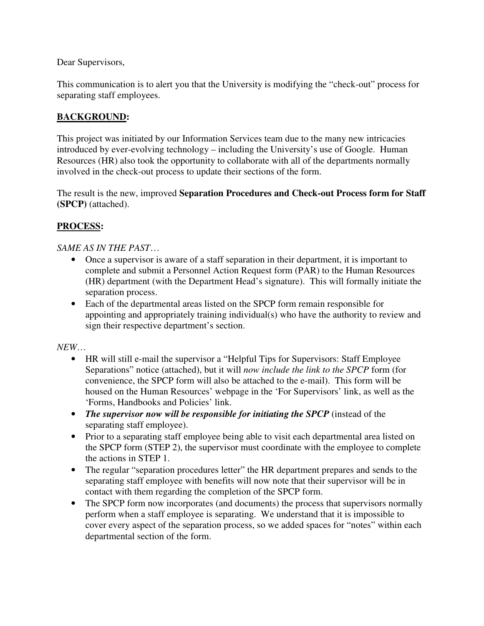Dear Supervisors,

This communication is to alert you that the University is modifying the "check-out" process for separating staff employees.

## **BACKGROUND:**

This project was initiated by our Information Services team due to the many new intricacies introduced by ever-evolving technology – including the University's use of Google. Human Resources (HR) also took the opportunity to collaborate with all of the departments normally involved in the check-out process to update their sections of the form.

The result is the new, improved **Separation Procedures and Check-out Process form for Staff (SPCP)** (attached).

## **PROCESS:**

## *SAME AS IN THE PAST*…

- Once a supervisor is aware of a staff separation in their department, it is important to complete and submit a Personnel Action Request form (PAR) to the Human Resources (HR) department (with the Department Head's signature). This will formally initiate the separation process.
- Each of the departmental areas listed on the SPCP form remain responsible for appointing and appropriately training individual(s) who have the authority to review and sign their respective department's section.

*NEW*…

- HR will still e-mail the supervisor a "Helpful Tips for Supervisors: Staff Employee Separations" notice (attached), but it will *now include the link to the SPCP* form (for convenience, the SPCP form will also be attached to the e-mail). This form will be housed on the Human Resources' webpage in the 'For Supervisors' link, as well as the 'Forms, Handbooks and Policies' link.
- *The supervisor now will be responsible for initiating the SPCP* (instead of the separating staff employee).
- Prior to a separating staff employee being able to visit each departmental area listed on the SPCP form (STEP 2), the supervisor must coordinate with the employee to complete the actions in STEP 1.
- The regular "separation procedures letter" the HR department prepares and sends to the separating staff employee with benefits will now note that their supervisor will be in contact with them regarding the completion of the SPCP form.
- The SPCP form now incorporates (and documents) the process that supervisors normally perform when a staff employee is separating. We understand that it is impossible to cover every aspect of the separation process, so we added spaces for "notes" within each departmental section of the form.